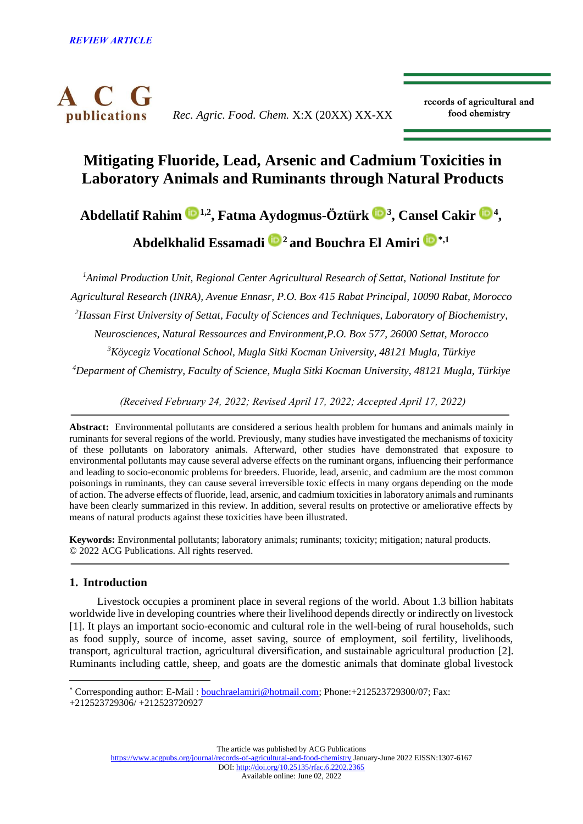

*Rec. Agric. Food. Chem.* X:X (20XX) XX-XX

records of agricultural and food chemistry

# **Mitigating Fluoride, Lead, Arsenic and Cadmium Toxicities in Laboratory Animals and Ruminants through Natural Products**

**Abdellatif Rahim [1](https://orcid.org/0000-0001-5832-1710),2, Fatma Aydogmus-Öztürk<sup>3</sup> , Cansel Cakir [4](https://orcid.org/0000-0002-6175-9008) ,** 

**Abdelkhalid Essamadi <sup>2</sup>and Bouchra El Amiri [\\*](https://orcid.org/0000-0003-3443-5988),1**

*Animal Production Unit, Regional Center Agricultural Research of Settat, National Institute for Agricultural Research (INRA), Avenue Ennasr, P.O. Box 415 Rabat Principal, 10090 Rabat, Morocco Hassan First University of Settat, Faculty of Sciences and Techniques, Laboratory of Biochemistry, Neurosciences, Natural Ressources and Environment,P.O. Box 577, 26000 Settat, Morocco Köycegiz Vocational School, Mugla Sitki Kocman University, 48121 Mugla, Türkiye Deparment of Chemistry, Faculty of Science, Mugla Sitki Kocman University, 48121 Mugla, Türkiye*

*(Received February 24, 2022; Revised April 17, 2022; Accepted April 17, 2022)*

**Abstract:** Environmental pollutants are considered a serious health problem for humans and animals mainly in ruminants for several regions of the world. Previously, many studies have investigated the mechanisms of toxicity of these pollutants on laboratory animals. Afterward, other studies have demonstrated that exposure to environmental pollutants may cause several adverse effects on the ruminant organs, influencing their performance and leading to socio-economic problems for breeders. Fluoride, lead, arsenic, and cadmium are the most common poisonings in ruminants, they can cause several irreversible toxic effects in many organs depending on the mode of action. The adverse effects of fluoride, lead, arsenic, and cadmium toxicities in laboratory animals and ruminants have been clearly summarized in this review. In addition, several results on protective or ameliorative effects by means of natural products against these toxicities have been illustrated.

**Keywords:** Environmental pollutants; laboratory animals; ruminants; toxicity; mitigation; natural products. © 2022 ACG Publications. All rights reserved.

# **1. Introduction**

Livestock occupies a prominent place in several regions of the world. About 1.3 billion habitats worldwide live in developing countries where their livelihood depends directly or indirectly on livestock [1]. It plays an important socio-economic and cultural role in the well-being of rural households, such as food supply, source of income, asset saving, source of employment, soil fertility, livelihoods, transport, agricultural traction, agricultural diversification, and sustainable agricultural production [2]. Ruminants including cattle, sheep, and goats are the domestic animals that dominate global livestock

\* Corresponding author: E-Mail [: bouchraelamiri@hotmail.com;](mailto:bouchraelamiri@hotmail.com) Phone:+212523729300/07; Fax:

The article was published by ACG Publications

<sup>+212523729306/ +212523720927</sup>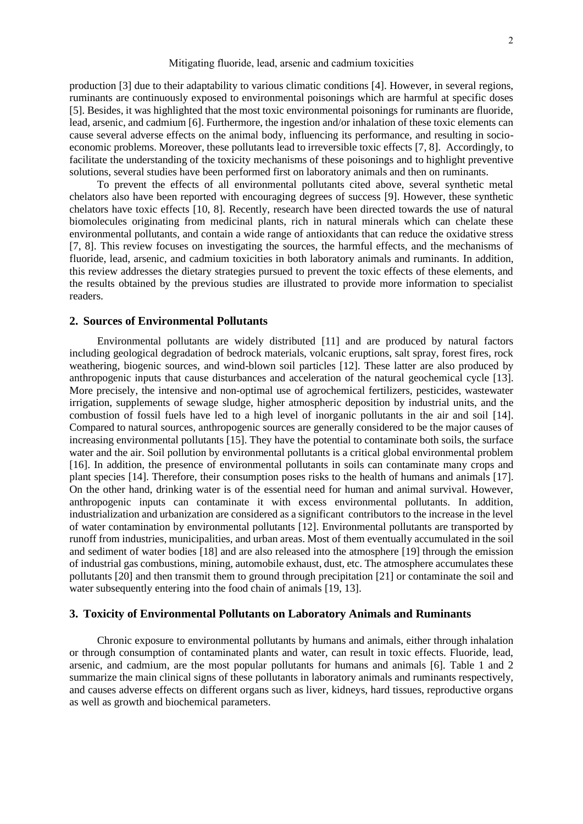production [3] due to their adaptability to various climatic conditions [4]. However, in several regions, ruminants are continuously exposed to environmental poisonings which are harmful at specific doses [5]. Besides, it was highlighted that the most toxic environmental poisonings for ruminants are fluoride, lead, arsenic, and cadmium [6]. Furthermore, the ingestion and/or inhalation of these toxic elements can cause several adverse effects on the animal body, influencing its performance, and resulting in socioeconomic problems. Moreover, these pollutants lead to irreversible toxic effects [7, 8]. Accordingly, to facilitate the understanding of the toxicity mechanisms of these poisonings and to highlight preventive solutions, several studies have been performed first on laboratory animals and then on ruminants.

To prevent the effects of all environmental pollutants cited above, several synthetic metal chelators also have been reported with encouraging degrees of success [9]. However, these synthetic chelators have toxic effects [10, 8]. Recently, research have been directed towards the use of natural biomolecules originating from medicinal plants, rich in natural minerals which can chelate these environmental pollutants, and contain a wide range of antioxidants that can reduce the oxidative stress [7, 8]. This review focuses on investigating the sources, the harmful effects, and the mechanisms of fluoride, lead, arsenic, and cadmium toxicities in both laboratory animals and ruminants. In addition, this review addresses the dietary strategies pursued to prevent the toxic effects of these elements, and the results obtained by the previous studies are illustrated to provide more information to specialist readers.

## **2. Sources of Environmental Pollutants**

Environmental pollutants are widely distributed [11] and are produced by natural factors including geological degradation of bedrock materials, volcanic eruptions, salt spray, forest fires, rock weathering, biogenic sources, and wind-blown soil particles [12]. These latter are also produced by anthropogenic inputs that cause disturbances and acceleration of the natural geochemical cycle [13]. More precisely, the intensive and non-optimal use of agrochemical fertilizers, pesticides, wastewater irrigation, supplements of sewage sludge, higher atmospheric deposition by industrial units, and the combustion of fossil fuels have led to a high level of inorganic pollutants in the air and soil [14]. Compared to natural sources, anthropogenic sources are generally considered to be the major causes of increasing environmental pollutants [15]. They have the potential to contaminate both soils, the surface water and the air. Soil pollution by environmental pollutants is a critical global environmental problem [16]. In addition, the presence of environmental pollutants in soils can contaminate many crops and plant species [14]. Therefore, their consumption poses risks to the health of humans and animals [17]. On the other hand, drinking water is of the essential need for human and animal survival. However, anthropogenic inputs can contaminate it with excess environmental pollutants. In addition, industrialization and urbanization are considered as a significant contributors to the increase in the level of water contamination by environmental pollutants [12]. Environmental pollutants are transported by runoff from industries, municipalities, and urban areas. Most of them eventually accumulated in the soil and sediment of water bodies [18] and are also released into the atmosphere [19] through the emission of industrial gas combustions, mining, automobile exhaust, dust, etc. The atmosphere accumulates these pollutants [20] and then transmit them to ground through precipitation [21] or contaminate the soil and water subsequently entering into the food chain of animals [19, 13].

# **3. Toxicity of Environmental Pollutants on Laboratory Animals and Ruminants**

Chronic exposure to environmental pollutants by humans and animals, either through inhalation or through consumption of contaminated plants and water, can result in toxic effects. Fluoride, lead, arsenic, and cadmium, are the most popular pollutants for humans and animals [6]. Table 1 and 2 summarize the main clinical signs of these pollutants in laboratory animals and ruminants respectively, and causes adverse effects on different organs such as liver, kidneys, hard tissues, reproductive organs as well as growth and biochemical parameters.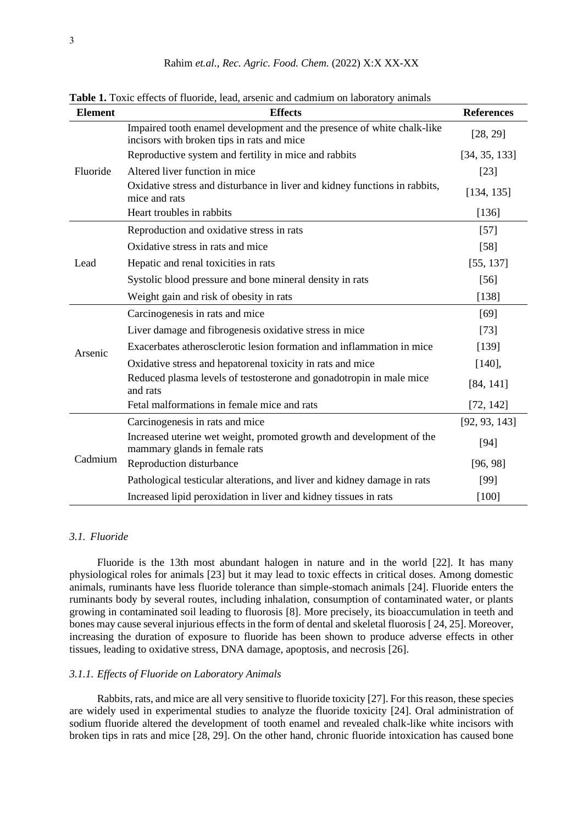| <b>Element</b> | <b>Effects</b>                                                                                                       | <b>References</b> |
|----------------|----------------------------------------------------------------------------------------------------------------------|-------------------|
| Fluoride       | Impaired tooth enamel development and the presence of white chalk-like<br>incisors with broken tips in rats and mice | [28, 29]          |
|                | Reproductive system and fertility in mice and rabbits                                                                | [34, 35, 133]     |
|                | Altered liver function in mice                                                                                       | $[23]$            |
|                | Oxidative stress and disturbance in liver and kidney functions in rabbits,<br>mice and rats                          | [134, 135]        |
|                | Heart troubles in rabbits                                                                                            | [136]             |
| Lead           | Reproduction and oxidative stress in rats                                                                            | $[57]$            |
|                | Oxidative stress in rats and mice                                                                                    | $[58]$            |
|                | Hepatic and renal toxicities in rats                                                                                 | [55, 137]         |
|                | Systolic blood pressure and bone mineral density in rats                                                             | $[56]$            |
|                | Weight gain and risk of obesity in rats                                                                              | [138]             |
| Arsenic        | Carcinogenesis in rats and mice                                                                                      | [69]              |
|                | Liver damage and fibrogenesis oxidative stress in mice                                                               | $[73]$            |
|                | Exacerbates atherosclerotic lesion formation and inflammation in mice                                                | [139]             |
|                | Oxidative stress and hepatorenal toxicity in rats and mice                                                           | [140],            |
|                | Reduced plasma levels of testosterone and gonadotropin in male mice<br>and rats                                      | [84, 141]         |
|                | Fetal malformations in female mice and rats                                                                          | [72, 142]         |
| Cadmium        | Carcinogenesis in rats and mice                                                                                      | [92, 93, 143]     |
|                | Increased uterine wet weight, promoted growth and development of the<br>mammary glands in female rats                | $[94]$            |
|                | Reproduction disturbance                                                                                             | [96, 98]          |
|                | Pathological testicular alterations, and liver and kidney damage in rats                                             | [99]              |
|                | Increased lipid peroxidation in liver and kidney tissues in rats                                                     | $[100]$           |

**Table 1.** Toxic effects of fluoride, lead, arsenic and cadmium on laboratory animals

# *3.1. Fluoride*

Fluoride is the 13th most abundant halogen in nature and in the world [22]. It has many physiological roles for animals [23] but it may lead to toxic effects in critical doses. Among domestic animals, ruminants have less fluoride tolerance than simple-stomach animals [24]. Fluoride enters the ruminants body by several routes, including inhalation, consumption of contaminated water, or plants growing in contaminated soil leading to fluorosis [8]. More precisely, its bioaccumulation in teeth and bones may cause several injurious effects in the form of dental and skeletal fluorosis [ 24, 25]. Moreover, increasing the duration of exposure to fluoride has been shown to produce adverse effects in other tissues, leading to oxidative stress, DNA damage, apoptosis, and necrosis [26].

#### *3.1.1. Effects of Fluoride on Laboratory Animals*

Rabbits, rats, and mice are all very sensitive to fluoride toxicity [27]. For this reason, these species are widely used in experimental studies to analyze the fluoride toxicity [24]. Oral administration of sodium fluoride altered the development of tooth enamel and revealed chalk-like white incisors with broken tips in rats and mice [28, 29]. On the other hand, chronic fluoride intoxication has caused bone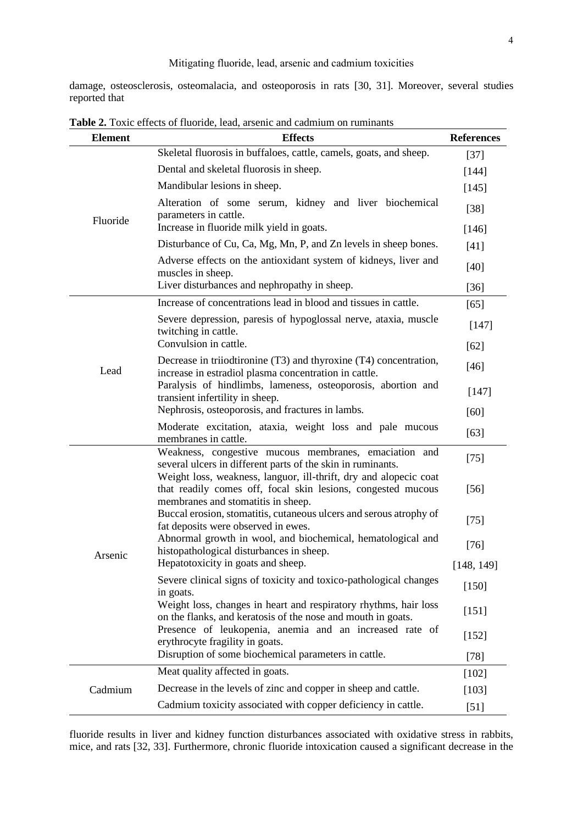damage, osteosclerosis, osteomalacia, and osteoporosis in rats [30, 31]. Moreover, several studies reported that

| <b>Element</b> | <b>Effects</b>                                                                                                                                                          | <b>References</b> |
|----------------|-------------------------------------------------------------------------------------------------------------------------------------------------------------------------|-------------------|
|                | Skeletal fluorosis in buffaloes, cattle, camels, goats, and sheep.                                                                                                      | $[37]$            |
|                | Dental and skeletal fluorosis in sheep.                                                                                                                                 | $[144]$           |
|                | Mandibular lesions in sheep.                                                                                                                                            | $[145]$           |
| Fluoride       | Alteration of some serum, kidney and liver biochemical<br>parameters in cattle.<br>Increase in fluoride milk yield in goats.                                            |                   |
|                | Disturbance of Cu, Ca, Mg, Mn, P, and Zn levels in sheep bones.                                                                                                         | $[146]$<br>$[41]$ |
|                | Adverse effects on the antioxidant system of kidneys, liver and<br>muscles in sheep.                                                                                    | $[40]$            |
|                | Liver disturbances and nephropathy in sheep.                                                                                                                            | $[36]$            |
|                | Increase of concentrations lead in blood and tissues in cattle.                                                                                                         | $[65]$            |
|                | Severe depression, paresis of hypoglossal nerve, ataxia, muscle<br>twitching in cattle.                                                                                 | [147]             |
|                | Convulsion in cattle.                                                                                                                                                   | $[62]$            |
| Lead           | Decrease in triiodtironine (T3) and thyroxine (T4) concentration,<br>increase in estradiol plasma concentration in cattle.                                              | $[46]$            |
|                | Paralysis of hindlimbs, lameness, osteoporosis, abortion and<br>transient infertility in sheep.                                                                         | [147]             |
|                | Nephrosis, osteoporosis, and fractures in lambs.                                                                                                                        | $[60]$            |
|                | Moderate excitation, ataxia, weight loss and pale mucous<br>membranes in cattle.                                                                                        | $[63]$            |
|                | Weakness, congestive mucous membranes, emaciation and<br>several ulcers in different parts of the skin in ruminants.                                                    | $[75]$            |
|                | Weight loss, weakness, languor, ill-thrift, dry and alopecic coat<br>that readily comes off, focal skin lesions, congested mucous<br>membranes and stomatitis in sheep. | $[56]$            |
|                | Buccal erosion, stomatitis, cutaneous ulcers and serous atrophy of<br>fat deposits were observed in ewes.                                                               | $[75]$            |
| Arsenic        | Abnormal growth in wool, and biochemical, hematological and<br>histopathological disturbances in sheep.                                                                 | $[76]$            |
|                | Hepatotoxicity in goats and sheep.                                                                                                                                      | [148, 149]        |
|                | Severe clinical signs of toxicity and toxico-pathological changes<br>in goats.                                                                                          | [150]             |
|                | Weight loss, changes in heart and respiratory rhythms, hair loss<br>on the flanks, and keratosis of the nose and mouth in goats.                                        | [151]             |
|                | Presence of leukopenia, anemia and an increased rate of<br>erythrocyte fragility in goats.                                                                              | [152]             |
|                | Disruption of some biochemical parameters in cattle.                                                                                                                    | $[78]$            |
|                | Meat quality affected in goats.                                                                                                                                         | $[102]$           |
| Cadmium        | Decrease in the levels of zinc and copper in sheep and cattle.                                                                                                          | [103]             |
|                | Cadmium toxicity associated with copper deficiency in cattle.                                                                                                           | $[51]$            |

**Table 2.** Toxic effects of fluoride, lead, arsenic and cadmium on ruminants

fluoride results in liver and kidney function disturbances associated with oxidative stress in rabbits, mice, and rats [32, 33]. Furthermore, chronic fluoride intoxication caused a significant decrease in the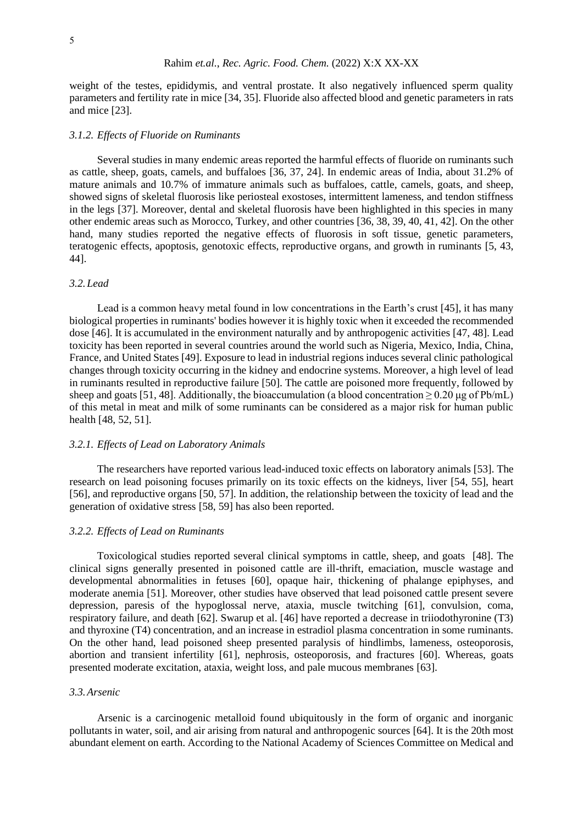weight of the testes, epididymis, and ventral prostate. It also negatively influenced sperm quality parameters and fertility rate in mice [34, 35]. Fluoride also affected blood and genetic parameters in rats and mice [23].

#### *3.1.2. Effects of Fluoride on Ruminants*

Several studies in many endemic areas reported the harmful effects of fluoride on ruminants such as cattle, sheep, goats, camels, and buffaloes [36, 37, 24]. In endemic areas of India, about 31.2% of mature animals and 10.7% of immature animals such as buffaloes, cattle, camels, goats, and sheep, showed signs of skeletal fluorosis like periosteal exostoses, intermittent lameness, and tendon stiffness in the legs [37]. Moreover, dental and skeletal fluorosis have been highlighted in this species in many other endemic areas such as Morocco, Turkey, and other countries [36, 38, 39, 40, 41, 42]. On the other hand, many studies reported the negative effects of fluorosis in soft tissue, genetic parameters, teratogenic effects, apoptosis, genotoxic effects, reproductive organs, and growth in ruminants [5, 43, 44].

# *3.2.Lead*

Lead is a common heavy metal found in low concentrations in the Earth's crust [45], it has many biological properties in ruminants' bodies however it is highly toxic when it exceeded the recommended dose [46]. It is accumulated in the environment naturally and by anthropogenic activities [47, 48]. Lead toxicity has been reported in several countries around the world such as Nigeria, Mexico, India, China, France, and United States [49]. Exposure to lead in industrial regions induces several clinic pathological changes through toxicity occurring in the kidney and endocrine systems. Moreover, a high level of lead in ruminants resulted in reproductive failure [50]. The cattle are poisoned more frequently, followed by sheep and goats [51, 48]. Additionally, the bioaccumulation (a blood concentration  $\geq 0.20 \text{ µg of Pb/mL}$ ) of this metal in meat and milk of some ruminants can be considered as a major risk for human public health [48, 52, 51].

#### *3.2.1. Effects of Lead on Laboratory Animals*

The researchers have reported various lead-induced toxic effects on laboratory animals [53]. The research on lead poisoning focuses primarily on its toxic effects on the kidneys, liver [54, 55], heart [56], and reproductive organs [50, 57]. In addition, the relationship between the toxicity of lead and the generation of oxidative stress [58, 59] has also been reported.

# *3.2.2. Effects of Lead on Ruminants*

Toxicological studies reported several clinical symptoms in cattle, sheep, and goats [48]. The clinical signs generally presented in poisoned cattle are ill-thrift, emaciation, muscle wastage and developmental abnormalities in fetuses [60], opaque hair, thickening of phalange epiphyses, and moderate anemia [51]. Moreover, other studies have observed that lead poisoned cattle present severe depression, paresis of the hypoglossal nerve, ataxia, muscle twitching [61], convulsion, coma, respiratory failure, and death [62]. Swarup et al. [46] have reported a decrease in triiodothyronine (T3) and thyroxine (T4) concentration, and an increase in estradiol plasma concentration in some ruminants. On the other hand, lead poisoned sheep presented paralysis of hindlimbs, lameness, osteoporosis, abortion and transient infertility [61], nephrosis, osteoporosis, and fractures [60]. Whereas, goats presented moderate excitation, ataxia, weight loss, and pale mucous membranes [63].

#### *3.3.Arsenic*

Arsenic is a carcinogenic metalloid found ubiquitously in the form of organic and inorganic pollutants in water, soil, and air arising from natural and anthropogenic sources [64]. It is the 20th most abundant element on earth. According to the National Academy of Sciences Committee on Medical and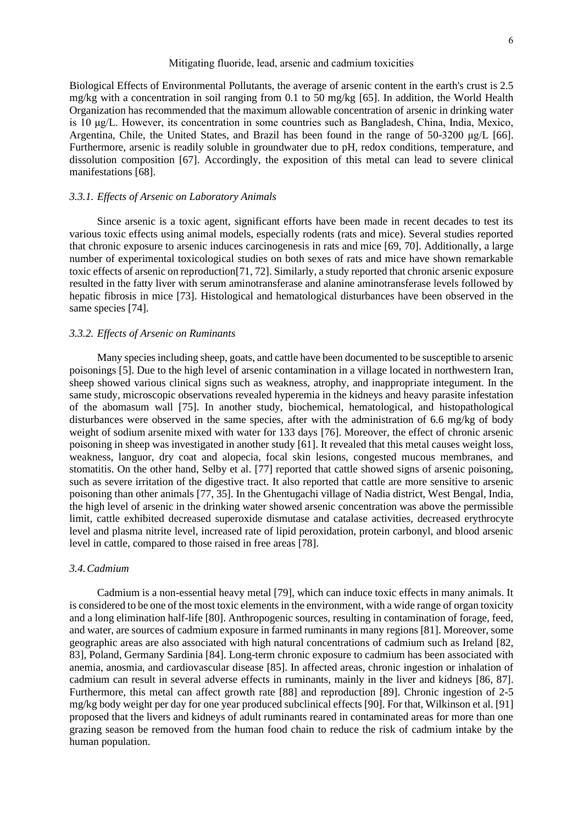Biological Effects of Environmental Pollutants, the average of arsenic content in the earth's crust is 2.5 mg/kg with a concentration in soil ranging from 0.1 to 50 mg/kg [65]. In addition, the World Health Organization has recommended that the maximum allowable concentration of arsenic in drinking water is 10 μg/L. However, its concentration in some countries such as Bangladesh, China, India, Mexico, Argentina, Chile, the United States, and Brazil has been found in the range of 50-3200 μg/L [66]. Furthermore, arsenic is readily soluble in groundwater due to pH, redox conditions, temperature, and dissolution composition [67]. Accordingly, the exposition of this metal can lead to severe clinical manifestations [68].

#### *3.3.1. Effects of Arsenic on Laboratory Animals*

Since arsenic is a toxic agent, significant efforts have been made in recent decades to test its various toxic effects using animal models, especially rodents (rats and mice). Several studies reported that chronic exposure to arsenic induces carcinogenesis in rats and mice [69, 70]. Additionally, a large number of experimental toxicological studies on both sexes of rats and mice have shown remarkable toxic effects of arsenic on reproduction[71, 72]. Similarly, a study reported that chronic arsenic exposure resulted in the fatty liver with serum aminotransferase and alanine aminotransferase levels followed by hepatic fibrosis in mice [73]. Histological and hematological disturbances have been observed in the same species [74].

#### *3.3.2. Effects of Arsenic on Ruminants*

Many species including sheep, goats, and cattle have been documented to be susceptible to arsenic poisonings [5]. Due to the high level of arsenic contamination in a village located in northwestern Iran, sheep showed various clinical signs such as weakness, atrophy, and inappropriate integument. In the same study, microscopic observations revealed hyperemia in the kidneys and heavy parasite infestation of the abomasum wall [75]. In another study, biochemical, hematological, and histopathological disturbances were observed in the same species, after with the administration of 6.6 mg/kg of body weight of sodium arsenite mixed with water for 133 days [76]. Moreover, the effect of chronic arsenic poisoning in sheep was investigated in another study [61]. It revealed that this metal causes weight loss, weakness, languor, dry coat and alopecia, focal skin lesions, congested mucous membranes, and stomatitis. On the other hand, Selby et al. [77] reported that cattle showed signs of arsenic poisoning, such as severe irritation of the digestive tract. It also reported that cattle are more sensitive to arsenic poisoning than other animals [77, 35]. In the Ghentugachi village of Nadia district, West Bengal, India, the high level of arsenic in the drinking water showed arsenic concentration was above the permissible limit, cattle exhibited decreased superoxide dismutase and catalase activities, decreased erythrocyte level and plasma nitrite level, increased rate of lipid peroxidation, protein carbonyl, and blood arsenic level in cattle, compared to those raised in free areas [78].

#### *3.4.Cadmium*

Cadmium is a non-essential heavy metal [79], which can induce toxic effects in many animals. It is considered to be one of the most toxic elements in the environment, with a wide range of organ toxicity and a long elimination half-life [80]. Anthropogenic sources, resulting in contamination of forage, feed, and water, are sources of cadmium exposure in farmed ruminants in many regions [81]. Moreover, some geographic areas are also associated with high natural concentrations of cadmium such as Ireland [82, 83], Poland, Germany Sardinia [84]. Long-term chronic exposure to cadmium has been associated with anemia, anosmia, and cardiovascular disease [85]. In affected areas, chronic ingestion or inhalation of cadmium can result in several adverse effects in ruminants, mainly in the liver and kidneys [86, 87]. Furthermore, this metal can affect growth rate [88] and reproduction [89]. Chronic ingestion of 2-5 mg/kg body weight per day for one year produced subclinical effects [90]. For that, Wilkinson et al. [91] proposed that the livers and kidneys of adult ruminants reared in contaminated areas for more than one grazing season be removed from the human food chain to reduce the risk of cadmium intake by the human population.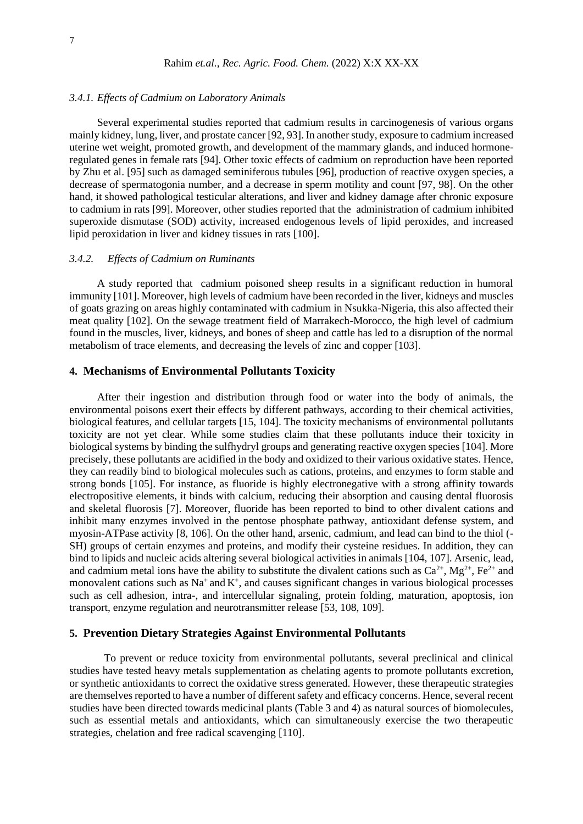#### *3.4.1. Effects of Cadmium on Laboratory Animals*

Several experimental studies reported that cadmium results in carcinogenesis of various organs mainly kidney, lung, liver, and prostate cancer [92, 93]. In another study, exposure to cadmium increased uterine wet weight, promoted growth, and development of the mammary glands, and induced hormoneregulated genes in female rats [94]. Other toxic effects of cadmium on reproduction have been reported by Zhu et al. [95] such as damaged seminiferous tubules [96], production of reactive oxygen species, a decrease of spermatogonia number, and a decrease in sperm motility and count [97, 98]. On the other hand, it showed pathological testicular alterations, and liver and kidney damage after chronic exposure to cadmium in rats [99]. Moreover, other studies reported that the administration of cadmium inhibited superoxide dismutase (SOD) activity, increased endogenous levels of lipid peroxides, and increased lipid peroxidation in liver and kidney tissues in rats [100].

#### *3.4.2. Effects of Cadmium on Ruminants*

A study reported that cadmium poisoned sheep results in a significant reduction in humoral immunity [101]. Moreover, high levels of cadmium have been recorded in the liver, kidneys and muscles of goats grazing on areas highly contaminated with cadmium in Nsukka-Nigeria, this also affected their meat quality [102]. On the sewage treatment field of Marrakech-Morocco, the high level of cadmium found in the muscles, liver, kidneys, and bones of sheep and cattle has led to a disruption of the normal metabolism of trace elements, and decreasing the levels of zinc and copper [103].

# **4. Mechanisms of Environmental Pollutants Toxicity**

After their ingestion and distribution through food or water into the body of animals, the environmental poisons exert their effects by different pathways, according to their chemical activities, biological features, and cellular targets [15, 104]. The toxicity mechanisms of environmental pollutants toxicity are not yet clear. While some studies claim that these pollutants induce their toxicity in biological systems by binding the sulfhydryl groups and generating reactive oxygen species [104]. More precisely, these pollutants are acidified in the body and oxidized to their various oxidative states. Hence, they can readily bind to biological molecules such as cations, proteins, and enzymes to form stable and strong bonds [105]. For instance, as fluoride is highly electronegative with a strong affinity towards electropositive elements, it binds with calcium, reducing their absorption and causing dental fluorosis and skeletal fluorosis [7]. Moreover, fluoride has been reported to bind to other divalent cations and inhibit many enzymes involved in the pentose phosphate pathway, antioxidant defense system, and myosin-ATPase activity [8, 106]. On the other hand, arsenic, cadmium, and lead can bind to the thiol (- SH) groups of certain enzymes and proteins, and modify their cysteine residues. In addition, they can bind to lipids and nucleic acids altering several biological activities in animals [104, 107]. Arsenic, lead, and cadmium metal ions have the ability to substitute the divalent cations such as  $Ca^{2+}$ , Mg<sup>2+</sup>, Fe<sup>2+</sup> and monovalent cations such as Na<sup>+</sup> and K<sup>+</sup>, and causes significant changes in various biological processes such as cell adhesion, intra-, and intercellular signaling, protein folding, maturation, apoptosis, ion transport, enzyme regulation and neurotransmitter release [53, 108, 109].

# **5. Prevention Dietary Strategies Against Environmental Pollutants**

To prevent or reduce toxicity from environmental pollutants, several preclinical and clinical studies have tested heavy metals supplementation as chelating agents to promote pollutants excretion, or synthetic antioxidants to correct the oxidative stress generated. However, these therapeutic strategies are themselves reported to have a number of different safety and efficacy concerns. Hence, several recent studies have been directed towards medicinal plants (Table 3 and 4) as natural sources of biomolecules, such as essential metals and antioxidants, which can simultaneously exercise the two therapeutic strategies, chelation and free radical scavenging [110].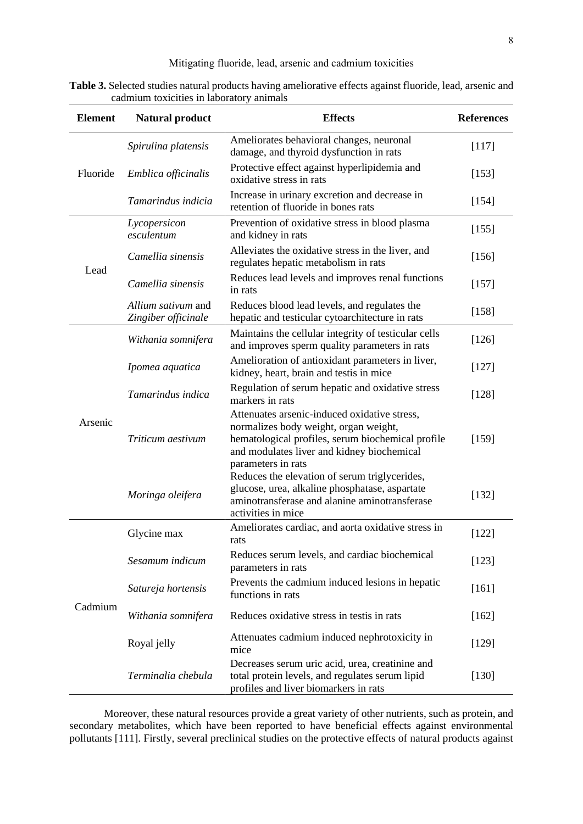**Table 3.** Selected studies natural products having ameliorative effects against fluoride, lead, arsenic and cadmium toxicities in laboratory animals

| <b>Element</b> | <b>Natural product</b>                    | <b>Effects</b>                                                                                                                                                                               | <b>References</b> |
|----------------|-------------------------------------------|----------------------------------------------------------------------------------------------------------------------------------------------------------------------------------------------|-------------------|
| Fluoride       | Spirulina platensis                       | Ameliorates behavioral changes, neuronal<br>damage, and thyroid dysfunction in rats                                                                                                          | [117]             |
|                | Emblica officinalis                       | Protective effect against hyperlipidemia and<br>oxidative stress in rats                                                                                                                     | $[153]$           |
|                | Tamarindus indicia                        | Increase in urinary excretion and decrease in<br>retention of fluoride in bones rats                                                                                                         | [154]             |
| Lead           | Lycopersicon<br>esculentum                | Prevention of oxidative stress in blood plasma<br>and kidney in rats                                                                                                                         | $[155]$           |
|                | Camellia sinensis                         | Alleviates the oxidative stress in the liver, and<br>regulates hepatic metabolism in rats                                                                                                    | $[156]$           |
|                | Camellia sinensis                         | Reduces lead levels and improves renal functions<br>in rats                                                                                                                                  | $[157]$           |
|                | Allium sativum and<br>Zingiber officinale | Reduces blood lead levels, and regulates the<br>hepatic and testicular cytoarchitecture in rats                                                                                              | [158]             |
| Arsenic        | Withania somnifera                        | Maintains the cellular integrity of testicular cells<br>and improves sperm quality parameters in rats                                                                                        | $[126]$           |
|                | Ipomea aquatica                           | Amelioration of antioxidant parameters in liver,<br>kidney, heart, brain and testis in mice                                                                                                  | $[127]$           |
|                | Tamarindus indica                         | Regulation of serum hepatic and oxidative stress<br>markers in rats                                                                                                                          | $[128]$           |
|                | Triticum aestivum                         | Attenuates arsenic-induced oxidative stress,<br>normalizes body weight, organ weight,<br>hematological profiles, serum biochemical profile<br>and modulates liver and kidney biochemical     | [159]             |
|                | Moringa oleifera                          | parameters in rats<br>Reduces the elevation of serum triglycerides,<br>glucose, urea, alkaline phosphatase, aspartate<br>aminotransferase and alanine aminotransferase<br>activities in mice | $[132]$           |
| Cadmium        | Glycine max                               | Ameliorates cardiac, and aorta oxidative stress in<br>rats                                                                                                                                   | [122]             |
|                | Sesamum indicum                           | Reduces serum levels, and cardiac biochemical<br>parameters in rats                                                                                                                          | $[123]$           |
|                | Satureja hortensis                        | Prevents the cadmium induced lesions in hepatic<br>functions in rats                                                                                                                         | $[161]$           |
|                | Withania somnifera                        | Reduces oxidative stress in testis in rats                                                                                                                                                   | $[162]$           |
|                | Royal jelly                               | Attenuates cadmium induced nephrotoxicity in<br>mice                                                                                                                                         | $[129]$           |
|                | Terminalia chebula                        | Decreases serum uric acid, urea, creatinine and<br>total protein levels, and regulates serum lipid<br>profiles and liver biomarkers in rats                                                  | $[130]$           |

Moreover, these natural resources provide a great variety of other nutrients, such as protein, and secondary metabolites, which have been reported to have beneficial effects against environmental pollutants [111]. Firstly, several preclinical studies on the protective effects of natural products against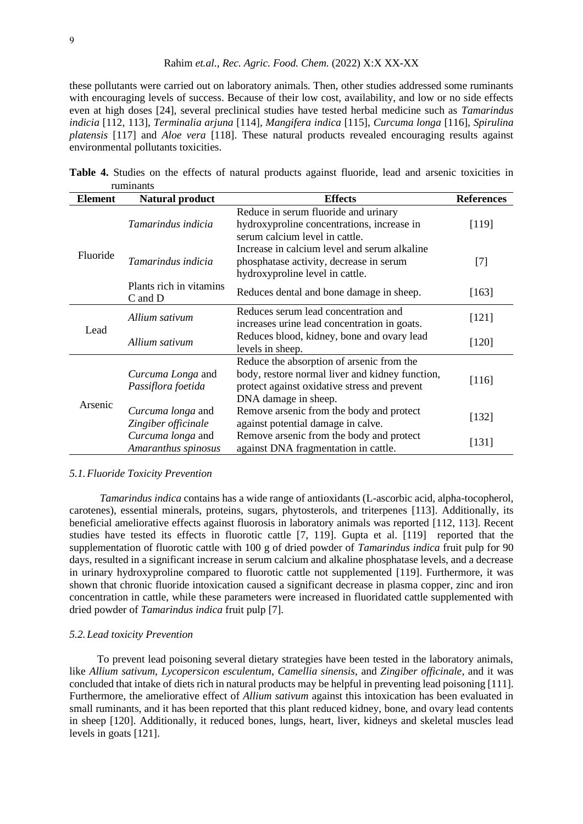these pollutants were carried out on laboratory animals. Then, other studies addressed some ruminants with encouraging levels of success. Because of their low cost, availability, and low or no side effects even at high doses [24], several preclinical studies have tested herbal medicine such as *Tamarindus indicia* [112, 113], *Terminalia arjuna* [114], *Mangifera indica* [115], *Curcuma longa* [116], *Spirulina platensis* [117] and *Aloe vera* [118]. These natural products revealed encouraging results against environmental pollutants toxicities.

**Table 4.** Studies on the effects of natural products against fluoride, lead and arsenic toxicities in ruminants

| <b>Element</b> | <b>Natural product</b>                   | <b>Effects</b>                                                                                                                                                       | <b>References</b> |
|----------------|------------------------------------------|----------------------------------------------------------------------------------------------------------------------------------------------------------------------|-------------------|
| Fluoride       | Tamarindus indicia                       | Reduce in serum fluoride and urinary<br>hydroxyproline concentrations, increase in<br>serum calcium level in cattle.                                                 | [119]             |
|                | Tamarindus indicia                       | Increase in calcium level and serum alkaline<br>phosphatase activity, decrease in serum<br>hydroxyproline level in cattle.                                           | $[7]$             |
|                | Plants rich in vitamins<br>$C$ and $D$   | Reduces dental and bone damage in sheep.                                                                                                                             | $[163]$           |
| Lead           | Allium sativum                           | Reduces serum lead concentration and<br>increases urine lead concentration in goats.                                                                                 | $[121]$           |
|                | Allium sativum                           | Reduces blood, kidney, bone and ovary lead<br>levels in sheep.                                                                                                       | $[120]$           |
| Arsenic        | Curcuma Longa and<br>Passiflora foetida  | Reduce the absorption of arsenic from the<br>body, restore normal liver and kidney function,<br>protect against oxidative stress and prevent<br>DNA damage in sheep. | $[116]$           |
|                | Curcuma longa and<br>Zingiber officinale | Remove arsenic from the body and protect<br>against potential damage in calve.                                                                                       | [132]             |
|                | Curcuma longa and<br>Amaranthus spinosus | Remove arsenic from the body and protect<br>against DNA fragmentation in cattle.                                                                                     | [131]             |

#### *5.1.Fluoride Toxicity Prevention*

*Tamarindus indica* contains has a wide range of antioxidants (L-ascorbic acid, alpha-tocopherol, carotenes), essential minerals, proteins, sugars, phytosterols, and triterpenes [113]. Additionally, its beneficial ameliorative effects against fluorosis in laboratory animals was reported [112, 113]. Recent studies have tested its effects in fluorotic cattle [7, 119]. Gupta et al. [119] reported that the supplementation of fluorotic cattle with 100 g of dried powder of *Tamarindus indica* fruit pulp for 90 days, resulted in a significant increase in serum calcium and alkaline phosphatase levels, and a decrease in urinary hydroxyproline compared to fluorotic cattle not supplemented [119]. Furthermore, it was shown that chronic fluoride intoxication caused a significant decrease in plasma copper, zinc and iron concentration in cattle, while these parameters were increased in fluoridated cattle supplemented with dried powder of *Tamarindus indica* fruit pulp [7].

#### *5.2.Lead toxicity Prevention*

To prevent lead poisoning several dietary strategies have been tested in the laboratory animals, like *Allium sativum*, *Lycopersicon esculentum*, *Camellia sinensis*, and *Zingiber officinale*, and it was concluded that intake of diets rich in natural products may be helpful in preventing lead poisoning [111]. Furthermore, the ameliorative effect of *Allium sativum* against this intoxication has been evaluated in small ruminants, and it has been reported that this plant reduced kidney, bone, and ovary lead contents in sheep [120]. Additionally, it reduced bones, lungs, heart, liver, kidneys and skeletal muscles lead levels in goats [121].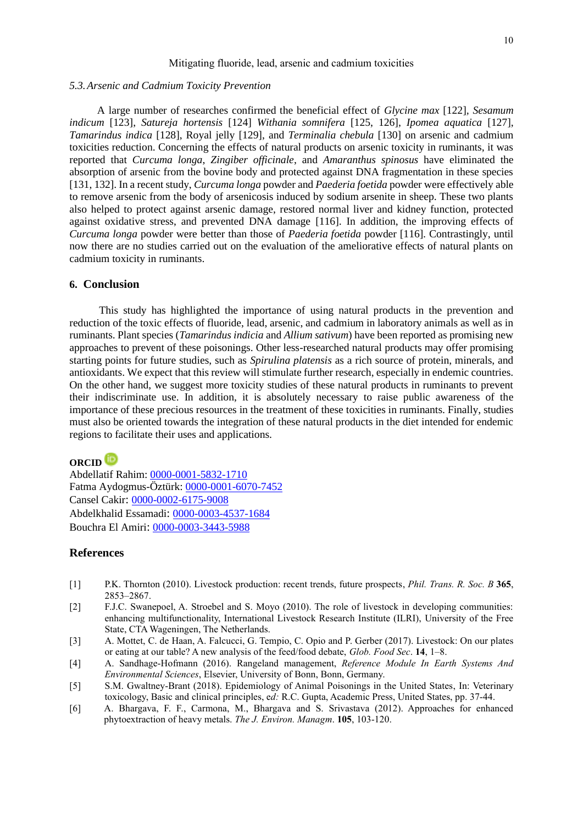#### *5.3.Arsenic and Cadmium Toxicity Prevention*

A large number of researches confirmed the beneficial effect of *Glycine max* [122]*, Sesamum indicum* [123], *Satureja hortensis* [124] *Withania somnifera* [125, 126], *Ipomea aquatica* [127], *Tamarindus indica* [128], Royal jelly [129], and *Terminalia chebula* [130] on arsenic and cadmium toxicities reduction. Concerning the effects of natural products on arsenic toxicity in ruminants, it was reported that *Curcuma longa*, *Zingiber officinale*, and *Amaranthus spinosus* have eliminated the absorption of arsenic from the bovine body and protected against DNA fragmentation in these species [131, 132]. In a recent study, *Curcuma longa* powder and *Paederia foetida* powder were effectively able to remove arsenic from the body of arsenicosis induced by sodium arsenite in sheep. These two plants also helped to protect against arsenic damage, restored normal liver and kidney function, protected against oxidative stress, and prevented DNA damage [116]. In addition, the improving effects of *Curcuma longa* powder were better than those of *Paederia foetida* powder [116]. Contrastingly, until now there are no studies carried out on the evaluation of the ameliorative effects of natural plants on cadmium toxicity in ruminants.

# **6. Conclusion**

 This study has highlighted the importance of using natural products in the prevention and reduction of the toxic effects of fluoride, lead, arsenic, and cadmium in laboratory animals as well as in ruminants. Plant species (*Tamarindus indicia* and *Allium sativum*) have been reported as promising new approaches to prevent of these poisonings. Other less-researched natural products may offer promising starting points for future studies, such as *Spirulina platensis* as a rich source of protein, minerals, and antioxidants. We expect that this review will stimulate further research, especially in endemic countries. On the other hand, we suggest more toxicity studies of these natural products in ruminants to prevent their indiscriminate use. In addition, it is absolutely necessary to raise public awareness of the importance of these precious resources in the treatment of these toxicities in ruminants. Finally, studies must also be oriented towards the integration of these natural products in the diet intended for endemic regions to facilitate their uses and applications.

# **ORCID**

Abdellatif Rahim: [0000-0001-5832-1710](https://orcid.org/0000-0001-5832-1710) Fatma Aydogmus-Öztürk: [0000-0001-6070-7452](https://orcid.org/0000-0001-6070-7452) Cansel Cakir: [0000-0002-6175-9008](https://orcid.org/0000-0002-6175-9008) Abdelkhalid Essamadi: [0000-0003-4537-1684](https://orcid.org/0000-0003-4537-1684) Bouchra El Amiri: [0000-0003-3443-5988](https://orcid.org/0000-0003-3443-5988)

# **References**

- [1] P.K. Thornton (2010). Livestock production: recent trends, future prospects, *Phil. Trans. R. Soc. B* **365**, 2853–2867.
- [2] F.J.C. Swanepoel, A. Stroebel and S. Moyo (2010). The role of livestock in developing communities: enhancing multifunctionality, International Livestock Research Institute (ILRI), University of the Free State, CTA Wageningen, The Netherlands.
- [3] A. Mottet, C. de Haan, A. Falcucci, G. Tempio, C. Opio and P. Gerber (2017). Livestock: On our plates or eating at our table? A new analysis of the feed/food debate, *Glob. Food Sec*. **14**, 1–8.
- [4] A. Sandhage-Hofmann (2016). Rangeland management, *Reference Module In Earth Systems And Environmental Sciences*, Elsevier, University of Bonn, Bonn, Germany.
- [5] S.M. Gwaltney-Brant (2018). Epidemiology of Animal Poisonings in the United States, In: Veterinary toxicology, Basic and clinical principles, e*d:* R.C. Gupta, Academic Press, United States, pp. 37-44.
- [6] A. Bhargava, F. F., Carmona, M., Bhargava and S. Srivastava (2012). Approaches for enhanced phytoextraction of heavy metals. *The J. Environ. Managm*. **105**, 103-120.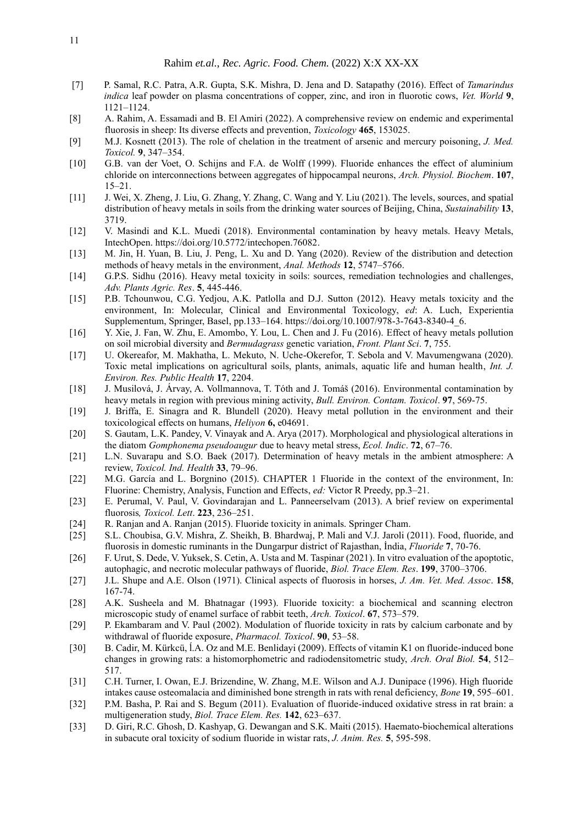- [7] P. Samal, R.C. Patra, A.R. Gupta, S.K. Mishra, D. Jena and D. Satapathy (2016). Effect of *Tamarindus indica* leaf powder on plasma concentrations of copper, zinc, and iron in fluorotic cows, *Vet. World* **9**, 1121–1124.
- [8] A. Rahim, A. Essamadi and B. El Amiri (2022). A comprehensive review on endemic and experimental fluorosis in sheep: Its diverse effects and prevention, *Toxicology* **465**, 153025.
- [9] M.J. Kosnett (2013). The role of chelation in the treatment of arsenic and mercury poisoning, *J. Med. Toxicol.* **9**, 347–354.
- [10] G.B. van der Voet, O. Schijns and F.A. de Wolff (1999). Fluoride enhances the effect of aluminium chloride on interconnections between aggregates of hippocampal neurons, *Arch. Physiol. Biochem*. **107**, 15–21.
- [11] J. Wei, X. Zheng, J. Liu, G. Zhang, Y. Zhang, C. Wang and Y. Liu (2021). The levels, sources, and spatial distribution of heavy metals in soils from the drinking water sources of Beijing, China, *Sustainability* **13**, 3719.
- [12] V. Masindi and K.L. Muedi (2018). Environmental contamination by heavy metals. Heavy Metals, IntechOpen. https://doi.org/10.5772/intechopen.76082.
- [13] M. Jin, H. Yuan, B. Liu, J. Peng, L. Xu and D. Yang (2020). Review of the distribution and detection methods of heavy metals in the environment, *Anal. Methods* **12**, 5747–5766.
- [14] G.P.S. Sidhu (2016). Heavy metal toxicity in soils: sources, remediation technologies and challenges, *Adv. Plants Agric. Res*. **5**, 445-446.
- [15] P.B. Tchounwou, C.G. Yedjou, A.K. Patlolla and D.J. Sutton (2012). Heavy metals toxicity and the environment, In: Molecular, Clinical and Environmental Toxicology, *ed*: A. Luch, Experientia Supplementum, Springer, Basel, pp.133–164. https://doi.org/10.1007/978-3-7643-8340-4\_6.
- [16] Y. Xie, J. Fan, W. Zhu, E. Amombo, Y. Lou, L. Chen and J. Fu (2016). Effect of heavy metals pollution on soil microbial diversity and *Bermudagrass* genetic variation, *Front. Plant Sci*. **7**, 755.
- [17] U. Okereafor, M. Makhatha, L. Mekuto, N. Uche-Okerefor, T. Sebola and V. Mavumengwana (2020). Toxic metal implications on agricultural soils, plants, animals, aquatic life and human health, *Int. J. Environ. Res. Public Health* **17**, 2204.
- [18] J. Musilová, J. Árvay, A. Vollmannova, T. Tóth and J. Tomáš (2016). Environmental contamination by heavy metals in region with previous mining activity, *Bull. Environ. Contam. Toxicol*. **97**, 569-75.
- [19] J. Briffa, E. Sinagra and R. Blundell (2020). Heavy metal pollution in the environment and their toxicological effects on humans, *Heliyon* **6,** e04691.
- [20] S. Gautam, L.K. Pandey, V. Vinayak and A. Arya (2017). Morphological and physiological alterations in the diatom *Gomphonema pseudoaugur* due to heavy metal stress, *Ecol. Indic*. **72**, 67–76.
- [21] L.N. Suvarapu and S.O. Baek (2017). Determination of heavy metals in the ambient atmosphere: A review, *Toxicol. Ind. Health* **33**, 79–96.
- [22] M.G. García and L. Borgnino (2015). CHAPTER 1 Fluoride in the context of the environment, In: Fluorine: Chemistry, Analysis, Function and Effects, *ed:* Victor R Preedy, pp.3–21.
- [23] E. Perumal, V. Paul, V. Govindarajan and L. Panneerselvam (2013). A brief review on experimental fluorosis*, Toxicol. Lett*. **223**, 236–251.
- [24] R. Ranjan and A. Ranjan (2015). Fluoride toxicity in animals. Springer Cham.
- [25] S.L. Choubisa, G.V. Mishra, Z. Sheikh, B. Bhardwaj, P. Mali and V.J. Jaroli (2011). Food, fluoride, and fluorosis in domestic ruminants in the Dungarpur district of Rajasthan, İndia, *Fluoride* **7**, 70-76.
- [26] F. Urut, S. Dede, V. Yuksek, S. Cetin, A. Usta and M. Taspinar (2021). In vitro evaluation of the apoptotic, autophagic, and necrotic molecular pathways of fluoride, *Biol. Trace Elem. Res*. **199**, 3700–3706.
- [27] J.L. Shupe and A.E. Olson (1971). Clinical aspects of fluorosis in horses, *J. Am. Vet. Med. Assoc*. **158**, 167-74.
- [28] A.K. Susheela and M. Bhatnagar (1993). Fluoride toxicity: a biochemical and scanning electron microscopic study of enamel surface of rabbit teeth, *Arch. Toxicol*. **67**, 573–579.
- [29] P. Ekambaram and V. Paul (2002). Modulation of fluoride toxicity in rats by calcium carbonate and by withdrawal of fluoride exposure, *Pharmacol. Toxicol*. **90**, 53–58.
- [30] B. Cadir, M. Kürkcü, ĺ.A. Oz and M.E. Benlidayi (2009). Effects of vitamin K1 on fluoride-induced bone changes in growing rats: a histomorphometric and radiodensitometric study, *Arch. Oral Biol.* **54**, 512– 517.
- [31] C.H. Turner, I. Owan, E.J. Brizendine, W. Zhang, M.E. Wilson and A.J. Dunipace (1996). High fluoride intakes cause osteomalacia and diminished bone strength in rats with renal deficiency, *Bone* **19**, 595–601.
- [32] P.M. Basha, P. Rai and S. Begum (2011). Evaluation of fluoride-induced oxidative stress in rat brain: a multigeneration study, *Biol. Trace Elem. Res.* **142**, 623–637.
- [33] D. Giri, R.C. Ghosh, D. Kashyap, G. Dewangan and S.K. Maiti (2015). Haemato-biochemical alterations in subacute oral toxicity of sodium fluoride in wistar rats, *J. Anim. Res.* **5**, 595-598.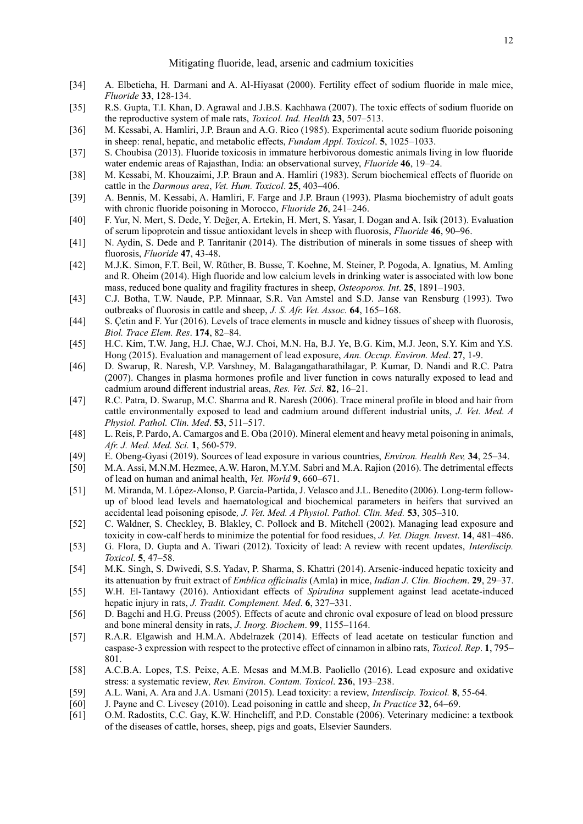- [34] A. Elbetieha, H. Darmani and A. Al-Hiyasat (2000). Fertility effect of sodium fluoride in male mice, *Fluoride* **33**, 128-134.
- [35] R.S. Gupta, T.I. Khan, D. Agrawal and J.B.S. Kachhawa (2007). The toxic effects of sodium fluoride on the reproductive system of male rats, *Toxicol. Ind. Health* **23**, 507–513.
- [36] M. Kessabi, A. Hamliri, J.P. Braun and A.G. Rico (1985). Experimental acute sodium fluoride poisoning in sheep: renal, hepatic, and metabolic effects, *Fundam Appl. Toxicol*. **5**, 1025–1033.
- [37] S. Choubisa (2013). Fluoride toxicosis in immature herbivorous domestic animals living in low fluoride water endemic areas of Rajasthan, India: an observational survey, *Fluoride* **46**, 19–24.
- [38] M. Kessabi, M. Khouzaimi, J.P. Braun and A. Hamliri (1983). Serum biochemical effects of fluoride on cattle in the *Darmous area*, *Vet. Hum. Toxicol*. **25**, 403–406.
- [39] A. Bennis, M. Kessabi, A. Hamliri, F. Farge and J.P. Braun (1993). Plasma biochemistry of adult goats with chronic fluoride poisoning in Morocco, *Fluoride 26*, 241–246.
- [40] F. Yur, N. Mert, S. Dede, Y. Değer, A. Ertekin, H. Mert, S. Yasar, I. Dogan and A. Isik (2013). Evaluation of serum lipoprotein and tissue antioxidant levels in sheep with fluorosis, *Fluoride* **46**, 90–96.
- [41] N. Aydin, S. Dede and P. Tanritanir (2014). The distribution of minerals in some tissues of sheep with fluorosis, *Fluoride* **47**, 43-48.
- [42] M.J.K. Simon, F.T. Beil, W. Rüther, B. Busse, T. Koehne, M. Steiner, P. Pogoda, A. Ignatius, M. Amling and R. Oheim (2014). High fluoride and low calcium levels in drinking water is associated with low bone mass, reduced bone quality and fragility fractures in sheep, *Osteoporos. Int*. **25**, 1891–1903.
- [43] C.J. Botha, T.W. Naude, P.P. Minnaar, S.R. Van Amstel and S.D. Janse van Rensburg (1993). Two outbreaks of fluorosis in cattle and sheep, *J. S. Afr. Vet. Assoc.* **64**, 165–168.
- [44] S. Çetin and F. Yur (2016). Levels of trace elements in muscle and kidney tissues of sheep with fluorosis, *Biol. Trace Elem. Res*. **174**, 82–84.
- [45] H.C. Kim, T.W. Jang, H.J. Chae, W.J. Choi, M.N. Ha, B.J. Ye, B.G. Kim, M.J. Jeon, S.Y. Kim and Y.S. Hong (2015). Evaluation and management of lead exposure, *Ann. Occup. Environ. Med*. **27**, 1-9.
- [46] D. Swarup, R. Naresh, V.P. Varshney, M. Balagangatharathilagar, P. Kumar, D. Nandi and R.C. Patra (2007). Changes in plasma hormones profile and liver function in cows naturally exposed to lead and cadmium around different industrial areas, *Res. Vet. Sci.* **82**, 16–21.
- [47] R.C. Patra, D. Swarup, M.C. Sharma and R. Naresh (2006). Trace mineral profile in blood and hair from cattle environmentally exposed to lead and cadmium around different industrial units, *J. Vet. Med. A Physiol. Pathol. Clin. Med*. **53**, 511–517.
- [48] L. Reis, P. Pardo, A. Camargos and E. Oba (2010). Mineral element and heavy metal poisoning in animals, *Afr. J. Med. Med. Sci.* **1**, 560-579.
- [49] E. Obeng-Gyasi (2019). Sources of lead exposure in various countries, *Environ. Health Rev,* **34**, 25–34.
- [50] M.A. Assi, M.N.M. Hezmee, A.W. Haron, M.Y.M. Sabri and M.A. Rajion (2016). The detrimental effects of lead on human and animal health, *Vet. World* **9**, 660–671.
- [51] M. Miranda, M. López-Alonso, P. García-Partida, J. Velasco and J.L. Benedito (2006). Long-term followup of blood lead levels and haematological and biochemical parameters in heifers that survived an accidental lead poisoning episode*, J. Vet. Med. A Physiol. Pathol. Clin. Med.* **53**, 305–310.
- [52] C. Waldner, S. Checkley, B. Blakley, C. Pollock and B. Mitchell (2002). Managing lead exposure and toxicity in cow-calf herds to minimize the potential for food residues, *J. Vet. Diagn. Invest*. **14**, 481–486.
- [53] G. Flora, D. Gupta and A. Tiwari (2012). Toxicity of lead: A review with recent updates, *Interdiscip. Toxicol*. **5**, 47–58.
- [54] M.K. Singh, S. Dwivedi, S.S. Yadav, P. Sharma, S. Khattri (2014). Arsenic-induced hepatic toxicity and its attenuation by fruit extract of *Emblica officinalis* (Amla) in mice, *Indian J. Clin. Biochem*. **29**, 29–37.
- [55] W.H. El-Tantawy (2016). Antioxidant effects of *Spirulina* supplement against lead acetate-induced hepatic injury in rats, *J. Tradit. Complement. Med*. **6**, 327–331.
- [56] D. Bagchi and H.G. Preuss (2005). Effects of acute and chronic oval exposure of lead on blood pressure and bone mineral density in rats, *J. Inorg. Biochem*. **99**, 1155–1164.
- [57] R.A.R. Elgawish and H.M.A. Abdelrazek (2014). Effects of lead acetate on testicular function and caspase-3 expression with respect to the protective effect of cinnamon in albino rats, *Toxicol. Rep*. **1**, 795– 801.
- [58] A.C.B.A. Lopes, T.S. Peixe, A.E. Mesas and M.M.B. Paoliello (2016). Lead exposure and oxidative stress: a systematic review*, Rev. Environ. Contam. Toxicol*. **236**, 193–238.
- [59] A.L. Wani, A. Ara and J.A. Usmani (2015). Lead toxicity: a review, *Interdiscip. Toxicol.* **8**, 55-64.
- [60] J. Payne and C. Livesey (2010). Lead poisoning in cattle and sheep, *In Practice* **32**, 64–69.
- [61] O.M. Radostits, C.C. Gay, K.W. Hinchcliff, and P.D. Constable (2006). Veterinary medicine: a textbook of the diseases of cattle, horses, sheep, pigs and goats, Elsevier Saunders.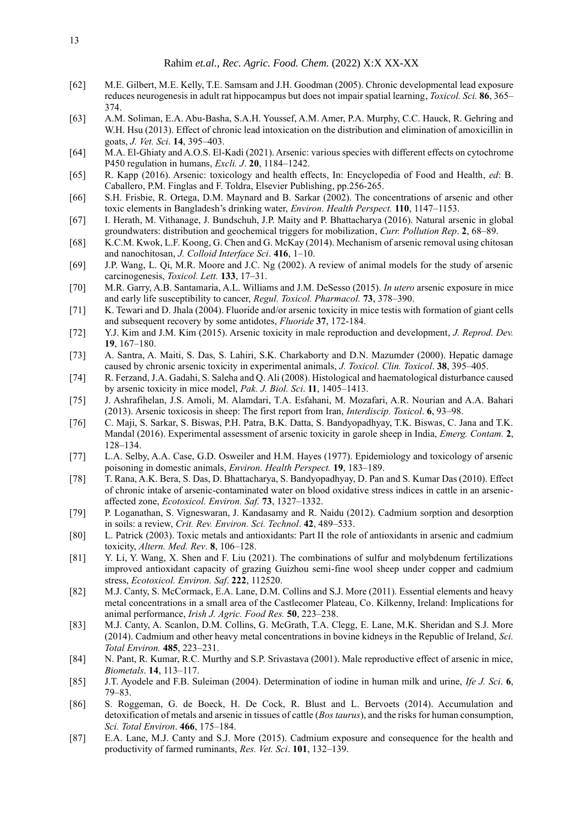- [62] M.E. Gilbert, M.E. Kelly, T.E. Samsam and J.H. Goodman (2005). Chronic developmental lead exposure reduces neurogenesis in adult rat hippocampus but does not impair spatial learning, *Toxicol. Sci.* **86**, 365– 374.
- [63] A.M. Soliman, E.A. Abu-Basha, S.A.H. Youssef, A.M. Amer, P.A. Murphy, C.C. Hauck, R. Gehring and W.H. Hsu (2013). Effect of chronic lead intoxication on the distribution and elimination of amoxicillin in goats, *J. Vet. Sci*. **14**, 395–403.
- [64] M.A. El-Ghiaty and A.O.S. El-Kadi (2021). Arsenic: various species with different effects on cytochrome P450 regulation in humans, *Excli. J*. **20**, 1184–1242.
- [65] R. Kapp (2016). Arsenic: toxicology and health effects, In: Encyclopedia of Food and Health, *ed*: B. Caballero, P.M. Finglas and F. Toldra, Elsevier Publishing, pp.256-265.
- [66] S.H. Frisbie, R. Ortega, D.M. Maynard and B. Sarkar (2002). The concentrations of arsenic and other toxic elements in Bangladesh's drinking water, *Environ. Health Perspect.* **110**, 1147–1153.
- [67] I. Herath, M. Vithanage, J. Bundschuh, J.P. Maity and P. Bhattacharya (2016). Natural arsenic in global groundwaters: distribution and geochemical triggers for mobilization, *Curr. Pollution Rep*. **2**, 68–89.
- [68] K.C.M. Kwok, L.F. Koong, G. Chen and G. McKay (2014). Mechanism of arsenic removal using chitosan and nanochitosan, *J. Colloid Interface Sci*. **416**, 1–10.
- [69] J.P. Wang, L. Qi, M.R. Moore and J.C. Ng (2002). A review of animal models for the study of arsenic carcinogenesis, *Toxicol. Lett.* **133**, 17–31.
- [70] M.R. Garry, A.B. Santamaria, A.L. Williams and J.M. DeSesso (2015). *In utero* arsenic exposure in mice and early life susceptibility to cancer, *Regul. Toxicol. Pharmacol.* **73**, 378–390.
- [71] K. Tewari and D. Jhala (2004). Fluoride and/or arsenic toxicity in mice testis with formation of giant cells and subsequent recovery by some antidotes, *Fluoride* **37**, 172-184.
- [72] Y.J. Kim and J.M. Kim (2015). Arsenic toxicity in male reproduction and development, *J. Reprod. Dev.* **19**, 167–180.
- [73] A. Santra, A. Maiti, S. Das, S. Lahiri, S.K. Charkaborty and D.N. Mazumder (2000). Hepatic damage caused by chronic arsenic toxicity in experimental animals, *J. Toxicol. Clin. Toxicol*. **38**, 395–405.
- [74] R. Ferzand, J.A. Gadahi, S. Saleha and Q. Ali (2008). Histological and haematological disturbance caused by arsenic toxicity in mice model, *Pak. J. Biol. Sci*. **11**, 1405–1413.
- [75] J. Ashrafihelan, J.S. Amoli, M. Alamdari, T.A. Esfahani, M. Mozafari, A.R. Nourian and A.A. Bahari (2013). Arsenic toxicosis in sheep: The first report from Iran, *Interdiscip. Toxicol*. **6**, 93–98.
- [76] C. Maji, S. Sarkar, S. Biswas, P.H. Patra, B.K. Datta, S. Bandyopadhyay, T.K. Biswas, C. Jana and T.K. Mandal (2016). Experimental assessment of arsenic toxicity in garole sheep in India, *Emerg. Contam.* **2**, 128–134.
- [77] L.A. Selby, A.A. Case, G.D. Osweiler and H.M. Hayes (1977). Epidemiology and toxicology of arsenic poisoning in domestic animals, *Environ. Health Perspect.* **19**, 183–189.
- [78] T. Rana, A.K. Bera, S. Das, D. Bhattacharya, S. Bandyopadhyay, D. Pan and S. Kumar Das (2010). Effect of chronic intake of arsenic-contaminated water on blood oxidative stress indices in cattle in an arsenicaffected zone, *Ecotoxicol. Environ. Saf.* **73**, 1327–1332.
- [79] P. Loganathan, S. Vigneswaran, J. Kandasamy and R. Naidu (2012). Cadmium sorption and desorption in soils: a review, *Crit. Rev. Environ. Sci. Technol*. **42**, 489–533.
- [80] L. Patrick (2003). Toxic metals and antioxidants: Part II the role of antioxidants in arsenic and cadmium toxicity, *Altern. Med. Rev*. **8**, 106–128.
- [81] Y. Li, Y. Wang, X. Shen and F. Liu (2021). The combinations of sulfur and molybdenum fertilizations improved antioxidant capacity of grazing Guizhou semi-fine wool sheep under copper and cadmium stress, *Ecotoxicol. Environ. Saf*. **222**, 112520.
- [82] M.J. Canty, S. McCormack, E.A. Lane, D.M. Collins and S.J. More (2011). Essential elements and heavy metal concentrations in a small area of the Castlecomer Plateau, Co. Kilkenny, Ireland: Implications for animal performance, *Irish J. Agric. Food Res.* **50**, 223–238.
- [83] M.J. Canty, A. Scanlon, D.M. Collins, G. McGrath, T.A. Clegg, E. Lane, M.K. Sheridan and S.J. More (2014). Cadmium and other heavy metal concentrations in bovine kidneys in the Republic of Ireland, *Sci. Total Environ.* **485**, 223–231.
- [84] N. Pant, R. Kumar, R.C. Murthy and S.P. Srivastava (2001). Male reproductive effect of arsenic in mice, *Biometals*. **14**, 113–117.
- [85] J.T. Ayodele and F.B. Suleiman (2004). Determination of iodine in human milk and urine, *Ife J. Sci*. **6**, 79–83.
- [86] S. Roggeman, G. de Boeck, H. De Cock, R. Blust and L. Bervoets (2014). Accumulation and detoxification of metals and arsenic in tissues of cattle (*Bos taurus*), and the risks for human consumption, *Sci. Total Environ*. **466**, 175–184.
- [87] E.A. Lane, M.J. Canty and S.J. More (2015). Cadmium exposure and consequence for the health and productivity of farmed ruminants, *Res. Vet. Sci*. **101**, 132–139.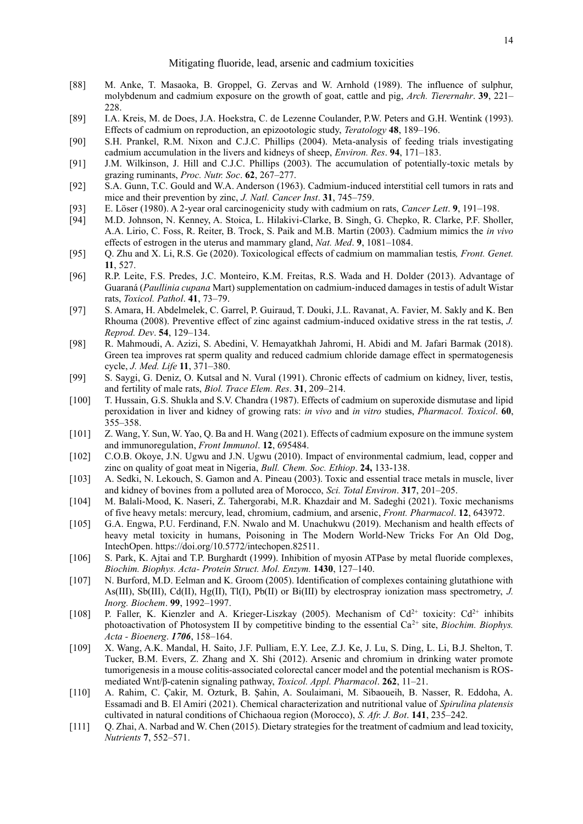- [88] M. Anke, T. Masaoka, B. Groppel, G. Zervas and W. Arnhold (1989). The influence of sulphur, molybdenum and cadmium exposure on the growth of goat, cattle and pig, *Arch. Tierernahr*. **39**, 221– 228.
- [89] I.A. Kreis, M. de Does, J.A. Hoekstra, C. de Lezenne Coulander, P.W. Peters and G.H. Wentink (1993). Effects of cadmium on reproduction, an epizootologic study, *Teratology* **48**, 189–196.
- [90] S.H. Prankel, R.M. Nixon and C.J.C. Phillips (2004). Meta-analysis of feeding trials investigating cadmium accumulation in the livers and kidneys of sheep, *Environ. Res*. **94**, 171–183.
- [91] J.M. Wilkinson, J. Hill and C.J.C. Phillips (2003). The accumulation of potentially-toxic metals by grazing ruminants, *Proc. Nutr. Soc*. **62**, 267–277.
- [92] S.A. Gunn, T.C. Gould and W.A. Anderson (1963). Cadmium-induced interstitial cell tumors in rats and mice and their prevention by zinc, *J. Natl. Cancer Inst*. **31**, 745–759.
- [93] E. Löser (1980). A 2-year oral carcinogenicity study with cadmium on rats, *Cancer Lett*. **9**, 191–198.
- [94] M.D. Johnson, N. Kenney, A. Stoica, L. Hilakivi-Clarke, B. Singh, G. Chepko, R. Clarke, P.F. Sholler, A.A. Lirio, C. Foss, R. Reiter, B. Trock, S. Paik and M.B. Martin (2003). Cadmium mimics the *in vivo* effects of estrogen in the uterus and mammary gland, *Nat. Med*. **9**, 1081–1084.
- [95] Q. Zhu and X. Li, R.S. Ge (2020). Toxicological effects of cadmium on mammalian testis*, Front. Genet.* **11**, 527.
- [96] R.P. Leite, F.S. Predes, J.C. Monteiro, K.M. Freitas, R.S. Wada and H. Dolder (2013). Advantage of Guaraná (*Paullinia cupana* Mart) supplementation on cadmium-induced damages in testis of adult Wistar rats, *Toxicol. Pathol*. **41**, 73–79.
- [97] S. Amara, H. Abdelmelek, C. Garrel, P. Guiraud, T. Douki, J.L. Ravanat, A. Favier, M. Sakly and K. Ben Rhouma (2008). Preventive effect of zinc against cadmium-induced oxidative stress in the rat testis, *J. Reprod. Dev*. **54**, 129–134.
- [98] R. Mahmoudi, A. Azizi, S. Abedini, V. Hemayatkhah Jahromi, H. Abidi and M. Jafari Barmak (2018). Green tea improves rat sperm quality and reduced cadmium chloride damage effect in spermatogenesis cycle, *J. Med. Life* **11**, 371–380.
- [99] S. Saygi, G. Deniz, O. Kutsal and N. Vural (1991). Chronic effects of cadmium on kidney, liver, testis, and fertility of male rats, *Biol. Trace Elem. Res*. **31**, 209–214.
- [100] T. Hussain, G.S. Shukla and S.V. Chandra (1987). Effects of cadmium on superoxide dismutase and lipid peroxidation in liver and kidney of growing rats: *in vivo* and *in vitro* studies, *Pharmacol. Toxicol*. **60**, 355–358.
- [101] Z. Wang, Y. Sun, W. Yao, Q. Ba and H. Wang (2021). Effects of cadmium exposure on the immune system and immunoregulation, *Front Immunol*. **12**, 695484.
- [102] C.O.B. Okoye, J.N. Ugwu and J.N. Ugwu (2010). Impact of environmental cadmium, lead, copper and zinc on quality of goat meat in Nigeria, *Bull. Chem. Soc. Ethiop*. **24,** 133-138.
- [103] A. Sedki, N. Lekouch, S. Gamon and A. Pineau (2003). Toxic and essential trace metals in muscle, liver and kidney of bovines from a polluted area of Morocco, *Sci. Total Environ*. **317**, 201–205.
- [104] M. Balali-Mood, K. Naseri, Z. Tahergorabi, M.R. Khazdair and M. Sadeghi (2021). Toxic mechanisms of five heavy metals: mercury, lead, chromium, cadmium, and arsenic, *Front. Pharmacol*. **12**, 643972.
- [105] G.A. Engwa, P.U. Ferdinand, F.N. Nwalo and M. Unachukwu (2019). Mechanism and health effects of heavy metal toxicity in humans, Poisoning in The Modern World-New Tricks For An Old Dog, IntechOpen. https://doi.org/10.5772/intechopen.82511.
- [106] S. Park, K. Ajtai and T.P. Burghardt (1999). Inhibition of myosin ATPase by metal fluoride complexes, *Biochim. Biophys. Acta- Protein Struct. Mol. Enzym.* **1430**, 127–140.
- [107] N. Burford, M.D. Eelman and K. Groom (2005). Identification of complexes containing glutathione with As(III), Sb(III), Cd(II), Hg(II), Tl(I), Pb(II) or Bi(III) by electrospray ionization mass spectrometry, *J. Inorg. Biochem*. **99**, 1992–1997.
- [108] P. Faller, K. Kienzler and A. Krieger-Liszkay (2005). Mechanism of  $Cd^{2+}$  toxicity:  $Cd^{2+}$  inhibits photoactivation of Photosystem II by competitive binding to the essential Ca<sup>2+</sup> site, *Biochim. Biophys. Acta - Bioenerg*. *1706*, 158–164.
- [109] X. Wang, A.K. Mandal, H. Saito, J.F. Pulliam, E.Y. Lee, Z.J. Ke, J. Lu, S. Ding, L. Li, B.J. Shelton, T. Tucker, B.M. Evers, Z. Zhang and X. Shi (2012). Arsenic and chromium in drinking water promote tumorigenesis in a mouse colitis-associated colorectal cancer model and the potential mechanism is ROSmediated Wnt/β-catenin signaling pathway, *Toxicol. Appl. Pharmacol*. **262**, 11–21.
- [110] A. Rahim, C. Çakir, M. Ozturk, B. Şahin, A. Soulaimani, M. Sibaoueih, B. Nasser, R. Eddoha, A. Essamadi and B. El Amiri (2021). Chemical characterization and nutritional value of *Spirulina platensis* cultivated in natural conditions of Chichaoua region (Morocco), *S. Afr. J. Bot*. **141**, 235–242.
- [111] Q. Zhai, A. Narbad and W. Chen (2015). Dietary strategies for the treatment of cadmium and lead toxicity, *Nutrients* **7**, 552–571.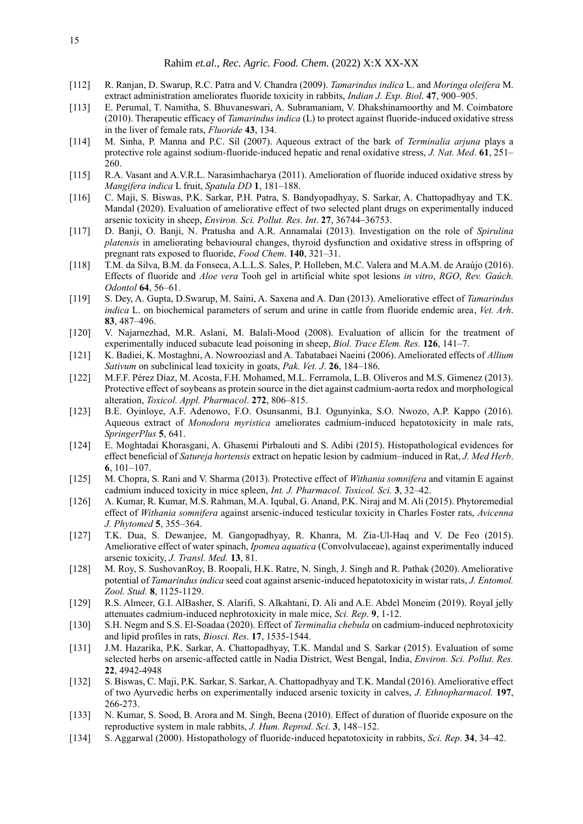- [112] R. Ranjan, D. Swarup, R.C. Patra and V. Chandra (2009). *Tamarindus indica* L. and *Moringa oleifera* M. extract administration ameliorates fluoride toxicity in rabbits, *Indian J. Exp. Biol*. **47**, 900–905.
- [113] E. Perumal, T. Namitha, S. Bhuvaneswari, A. Subramaniam, V. Dhakshinamoorthy and M. Coimbatore (2010). Therapeutic efficacy of *Tamarindus indica* (L) to protect against fluoride-induced oxidative stress in the liver of female rats, *Fluoride* **43**, 134.
- [114] M. Sinha, P. Manna and P.C. Sil (2007). Aqueous extract of the bark of *Terminalia arjuna* plays a protective role against sodium-fluoride-induced hepatic and renal oxidative stress, *J. Nat. Med*. **61**, 251– 260.
- [115] R.A. Vasant and A.V.R.L. Narasimhacharya (2011). Amelioration of fluoride induced oxidative stress by *Mangifera indica* L fruit, *Spatula DD* **1**, 181–188.
- [116] C. Maji, S. Biswas, P.K. Sarkar, P.H. Patra, S. Bandyopadhyay, S. Sarkar, A. Chattopadhyay and T.K. Mandal (2020). Evaluation of ameliorative effect of two selected plant drugs on experimentally induced arsenic toxicity in sheep, *Environ. Sci. Pollut. Res. Int*. **27**, 36744–36753.
- [117] D. Banji, O. Banji, N. Pratusha and A.R. Annamalai (2013). Investigation on the role of *Spirulina platensis* in ameliorating behavioural changes, thyroid dysfunction and oxidative stress in offspring of pregnant rats exposed to fluoride, *Food Chem*. **140**, 321–31.
- [118] T.M. da Silva, B.M. da Fonseca, A.L.L.S. Sales, P. Holleben, M.C. Valera and M.A.M. de Araújo (2016). Effects of fluoride and *Aloe vera* Tooh gel in artificial white spot lesions *in vitro*, *RGO*, *Rev. Gaúch. Odontol* **64**, 56–61.
- [119] S. Dey, A. Gupta, D.Swarup, M. Saini, A. Saxena and A. Dan (2013). Ameliorative effect of *Tamarindus indica* L. on biochemical parameters of serum and urine in cattle from fluoride endemic area, *Vet. Arh*. **83**, 487–496.
- [120] V. Najarnezhad, M.R. Aslani, M. Balali-Mood (2008). Evaluation of allicin for the treatment of experimentally induced subacute lead poisoning in sheep, *Biol. Trace Elem. Res.* **126**, 141–7.
- [121] K. Badiei, K. Mostaghni, A. Nowrooziasl and A. Tabatabaei Naeini (2006). Ameliorated effects of *Allium Sativum* on subclinical lead toxicity in goats, *Pak. Vet. J*. **26**, 184–186.
- [122] M.F.F. Pérez Díaz, M. Acosta, F.H. Mohamed, M.L. Ferramola, L.B. Oliveros and M.S. Gimenez (2013). Protective effect of soybeans as protein source in the diet against cadmium-aorta redox and morphological alteration, *Toxicol. Appl. Pharmacol*. **272**, 806–815.
- [123] B.E. Oyinloye, A.F. Adenowo, F.O. Osunsanmi, B.I. Ogunyinka, S.O. Nwozo, A.P. Kappo (2016). Aqueous extract of *Monodora myristica* ameliorates cadmium-induced hepatotoxicity in male rats, *SpringerPlus* **5**, 641.
- [124] E. Moghtadai Khorasgani, A. Ghasemi Pirbalouti and S. Adibi (2015). Histopathological evidences for effect beneficial of *Satureja hortensis* extract on hepatic lesion by cadmium–induced in Rat, *J. Med Herb*. **6**, 101–107.
- [125] M. Chopra, S. Rani and V. Sharma (2013). Protective effect of *Withania somnifera* and vitamin E against cadmium induced toxicity in mice spleen, *Int. J. Pharmacol. Toxicol. Sci.* **3**, 32–42.
- [126] A. Kumar, R. Kumar, M.S. Rahman, M.A. Iqubal, G. Anand, P.K. Niraj and M. Ali (2015). Phytoremedial effect of *Withania somnifera* against arsenic-induced testicular toxicity in Charles Foster rats, *Avicenna J. Phytomed* **5**, 355–364.
- [127] T.K. Dua, S. Dewanjee, M. Gangopadhyay, R. Khanra, M. Zia-Ul-Haq and V. De Feo (2015). Ameliorative effect of water spinach, *Ipomea aquatica* (Convolvulaceae), against experimentally induced arsenic toxicity, *J. Transl. Med.* **13**, 81.
- [128] M. Roy, S. SushovanRoy, B. Roopali, H.K. Ratre, N. Singh, J. Singh and R. Pathak (2020). Ameliorative potential of *Tamarindus indica* seed coat against arsenic-induced hepatotoxicity in wistar rats, *J. Entomol. Zool. Stud.* **8**, 1125-1129.
- [129] R.S. Almeer, G.I. AlBasher, S. Alarifi, S. Alkahtani, D. Ali and A.E. Abdel Moneim (2019). Royal jelly attenuates cadmium-induced nephrotoxicity in male mice, *Sci. Rep*. **9**, 1-12.
- [130] S.H. Negm and S.S. El-Soadaa (2020). Effect of *Terminalia chebula* on cadmium-induced nephrotoxicity and lipid profiles in rats, *Biosci. Res*. **17**, 1535-1544.
- [131] J.M. Hazarika, P.K. Sarkar, A. Chattopadhyay, T.K. Mandal and S. Sarkar (2015). Evaluation of some selected herbs on arsenic-affected cattle in Nadia District, West Bengal, India, *Environ. Sci. Pollut. Res.* **22**, 4942-4948
- [132] S. Biswas, C. Maji, P.K. Sarkar, S. Sarkar, A. Chattopadhyay and T.K. Mandal (2016). Ameliorative effect of two Ayurvedic herbs on experimentally induced arsenic toxicity in calves, *J. Ethnopharmacol.* **197**, 266-273.
- [133] N. Kumar, S. Sood, B. Arora and M. Singh, Beena (2010). Effect of duration of fluoride exposure on the reproductive system in male rabbits, *J. Hum. Reprod. Sci*. **3**, 148–152.
- [134] S. Aggarwal (2000). Histopathology of fluoride-induced hepatotoxicity in rabbits, *Sci. Rep*. **34**, 34–42.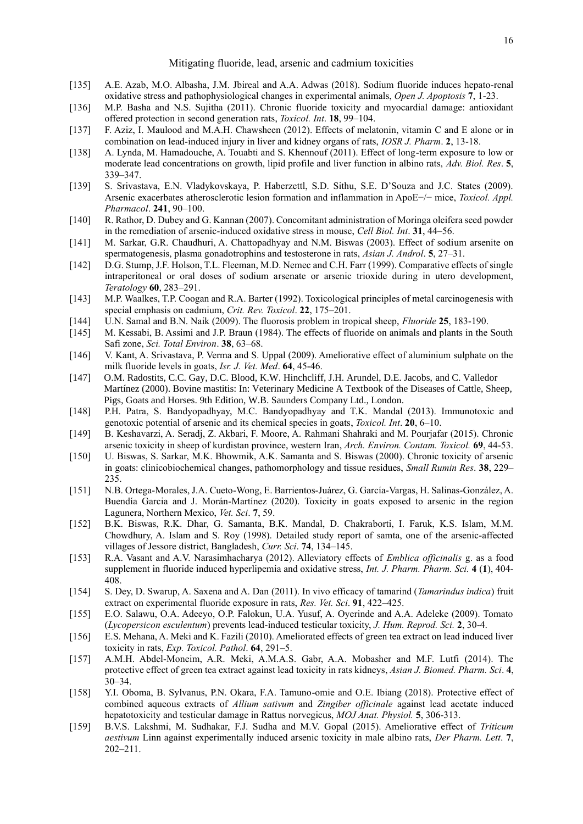- [135] A.E. Azab, M.O. Albasha, J.M. Jbireal and A.A. Adwas (2018). Sodium fluoride induces hepato-renal oxidative stress and pathophysiological changes in experimental animals, *Open J. Apoptosis* **7**, 1-23.
- [136] M.P. Basha and N.S. Sujitha (2011). Chronic fluoride toxicity and myocardial damage: antioxidant offered protection in second generation rats, *Toxicol. Int*. **18**, 99–104.
- [137] F. Aziz, I. Maulood and M.A.H. Chawsheen (2012). Effects of melatonin, vitamin C and E alone or in combination on lead-induced injury in liver and kidney organs of rats, *IOSR J. Pharm*. **2**, 13-18.
- [138] A. Lynda, M. Hamadouche, A. Touabti and S. Khennouf (2011). Effect of long-term exposure to low or moderate lead concentrations on growth, lipid profile and liver function in albino rats, *Adv. Biol. Res*. **5**, 339–347.
- [139] S. Srivastava, E.N. Vladykovskaya, P. Haberzettl, S.D. Sithu, S.E. D'Souza and J.C. States (2009). Arsenic exacerbates atherosclerotic lesion formation and inflammation in ApoE−/− mice, *Toxicol. Appl. Pharmacol*. **241**, 90–100.
- [140] R. Rathor, D. Dubey and G. Kannan (2007). Concomitant administration of Moringa oleifera seed powder in the remediation of arsenic-induced oxidative stress in mouse, *Cell Biol. Int*. **31**, 44–56.
- [141] M. Sarkar, G.R. Chaudhuri, A. Chattopadhyay and N.M. Biswas (2003). Effect of sodium arsenite on spermatogenesis, plasma gonadotrophins and testosterone in rats, *Asian J. Androl*. **5**, 27–31.
- [142] D.G. Stump, J.F. Holson, T.L. Fleeman, M.D. Nemec and C.H. Farr (1999). Comparative effects of single intraperitoneal or oral doses of sodium arsenate or arsenic trioxide during in utero development, *Teratology* **60**, 283–291.
- [143] M.P. Waalkes, T.P. Coogan and R.A. Barter (1992). Toxicological principles of metal carcinogenesis with special emphasis on cadmium, *Crit. Rev. Toxicol*. **22**, 175–201.
- [144] U.N. Samal and B.N. Naik (2009). The fluorosis problem in tropical sheep, *Fluoride* **25**, 183-190.
- [145] M. Kessabi, B. Assimi and J.P. Braun (1984). The effects of fluoride on animals and plants in the South Safi zone, *Sci. Total Environ*. **38**, 63–68.
- [146] V. Kant, A. Srivastava, P. Verma and S. Uppal (2009). Ameliorative effect of aluminium sulphate on the milk fluoride levels in goats, *Isr. J. Vet. Med*. **64**, 45-46.
- [147] O.M. Radostits, C.C. Gay, D.C. Blood, K.W. Hinchcliff, J.H. Arundel, D.E. Jacobs, and C. Valledor Martínez (2000). Bovine mastitis: In: Veterinary Medicine A Textbook of the Diseases of Cattle, Sheep, Pigs, Goats and Horses. 9th Edition, W.B. Saunders Company Ltd., London.
- [148] P.H. Patra, S. Bandyopadhyay, M.C. Bandyopadhyay and T.K. Mandal (2013). Immunotoxic and genotoxic potential of arsenic and its chemical species in goats, *Toxicol. Int*. **20**, 6–10.
- [149] B. Keshavarzi, A. Seradj, Z. Akbari, F. Moore, A. Rahmani Shahraki and M. Pourjafar (2015). Chronic arsenic toxicity in sheep of kurdistan province, western Iran, *Arch. Environ. Contam. Toxicol.* **69**, 44-53.
- [150] U. Biswas, S. Sarkar, M.K. Bhowmik, A.K. Samanta and S. Biswas (2000). Chronic toxicity of arsenic in goats: clinicobiochemical changes, pathomorphology and tissue residues, *Small Rumin Res*. **38**, 229– 235.
- [151] N.B. Ortega-Morales, J.A. Cueto-Wong, E. Barrientos-Juárez, G. García-Vargas, H. Salinas-González, A. Buendía Garcia and J. Morán-Martínez (2020). Toxicity in goats exposed to arsenic in the region Lagunera, Northern Mexico, *Vet. Sci*. **7**, 59.
- [152] B.K. Biswas, R.K. Dhar, G. Samanta, B.K. Mandal, D. Chakraborti, I. Faruk, K.S. Islam, M.M. Chowdhury, A. Islam and S. Roy (1998). Detailed study report of samta, one of the arsenic-affected villages of Jessore district, Bangladesh, *Curr. Sci*. **74**, 134–145.
- [153] R.A. Vasant and A.V. Narasimhacharya (2012). Alleviatory effects of *Emblica officinalis* g. as a food supplement in fluoride induced hyperlipemia and oxidative stress, *Int. J. Pharm. Pharm. Sci.* **4** (**1**), 404- 408.
- [154] S. Dey, D. Swarup, A. Saxena and A. Dan (2011). In vivo efficacy of tamarind (*Tamarindus indica*) fruit extract on experimental fluoride exposure in rats, *Res. Vet. Sci*. **91**, 422–425.
- [155] E.O. Salawu, O.A. Adeeyo, O.P. Falokun, U.A. Yusuf, A. Oyerinde and A.A. Adeleke (2009). Tomato (*Lycopersicon esculentum*) prevents lead-induced testicular toxicity, *J. Hum. Reprod. Sci.* **2**, 30-4.
- [156] E.S. Mehana, A. Meki and K. Fazili (2010). Ameliorated effects of green tea extract on lead induced liver toxicity in rats, *Exp. Toxicol. Pathol*. **64**, 291–5.
- [157] A.M.H. Abdel-Moneim, A.R. Meki, A.M.A.S. Gabr, A.A. Mobasher and M.F. Lutfi (2014). The protective effect of green tea extract against lead toxicity in rats kidneys, *Asian J. Biomed. Pharm. Sci*. **4**, 30–34.
- [158] Y.I. Oboma, B. Sylvanus, P.N. Okara, F.A. Tamuno-omie and O.E. Ibiang (2018). Protective effect of combined aqueous extracts of *Allium sativum* and *Zingiber officinale* against lead acetate induced hepatotoxicity and testicular damage in Rattus norvegicus, *MOJ Anat. Physiol.* **5**, 306-313.
- [159] B.V.S. Lakshmi, M. Sudhakar, F.J. Sudha and M.V. Gopal (2015). Ameliorative effect of *Triticum aestivum* Linn against experimentally induced arsenic toxicity in male albino rats, *Der Pharm. Lett*. **7**, 202–211.